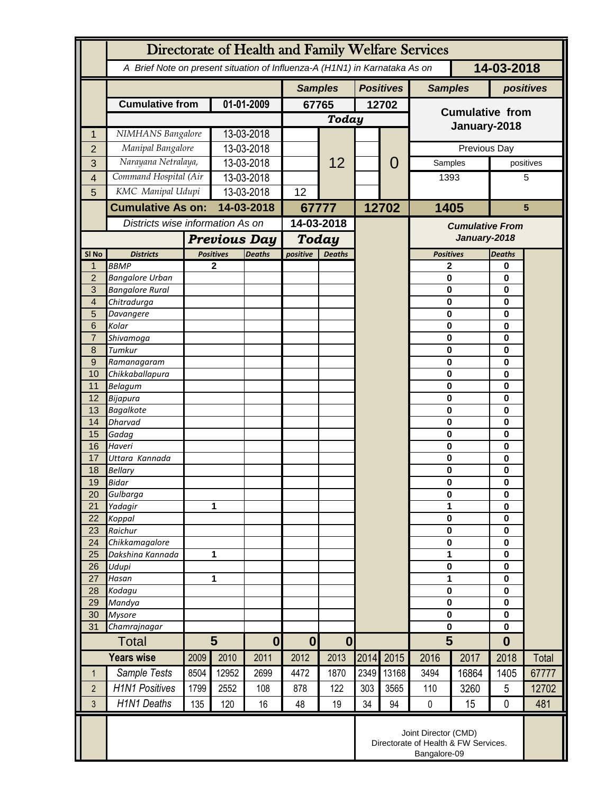|                              | Directorate of Health and Family Welfare Services                                        |                                                              |                                         |                |                                    |       |                  |                        |                                        |                         |                   |           |  |
|------------------------------|------------------------------------------------------------------------------------------|--------------------------------------------------------------|-----------------------------------------|----------------|------------------------------------|-------|------------------|------------------------|----------------------------------------|-------------------------|-------------------|-----------|--|
|                              | 14-03-2018<br>A Brief Note on present situation of Influenza-A (H1N1) in Karnataka As on |                                                              |                                         |                |                                    |       |                  |                        |                                        |                         |                   |           |  |
|                              |                                                                                          |                                                              |                                         | <b>Samples</b> |                                    |       | <b>Positives</b> | <b>Samples</b>         |                                        | positives               |                   |           |  |
|                              | <b>Cumulative from</b>                                                                   | 01-01-2009                                                   |                                         | 67765          |                                    | 12702 |                  | <b>Cumulative from</b> |                                        |                         |                   |           |  |
|                              |                                                                                          |                                                              |                                         |                | Today                              |       |                  |                        | January-2018                           |                         |                   |           |  |
| 1                            | NIMHANS Bangalore                                                                        |                                                              | 13-03-2018                              |                |                                    |       |                  |                        |                                        |                         |                   |           |  |
| $\overline{2}$               | Manipal Bangalore<br>Narayana Netralaya,                                                 |                                                              | 13-03-2018                              |                |                                    |       |                  | 0                      |                                        | Previous Day<br>Samples |                   |           |  |
| 3                            |                                                                                          | Command Hospital (Air                                        |                                         | 13-03-2018     |                                    | 12    |                  |                        |                                        |                         |                   | positives |  |
| $\overline{\mathbf{4}}$<br>5 | KMC Manipal Udupi                                                                        |                                                              | 13-03-2018<br>13-03-2018                |                | 12                                 |       |                  |                        | 1393                                   |                         | 5                 |           |  |
|                              | <b>Cumulative As on:</b>                                                                 |                                                              | 14-03-2018                              |                |                                    |       |                  | 12702                  | 1405                                   |                         | $5\phantom{1}$    |           |  |
|                              | Districts wise information As on                                                         |                                                              |                                         |                | 67777<br>14-03-2018                |       |                  |                        |                                        |                         |                   |           |  |
|                              |                                                                                          |                                                              |                                         |                |                                    |       |                  |                        | <b>Cumulative From</b><br>January-2018 |                         |                   |           |  |
| SI No                        | <b>Districts</b>                                                                         |                                                              | <b>Previous Day</b><br><b>Positives</b> |                | Today<br>positive<br><b>Deaths</b> |       |                  |                        | <b>Positives</b>                       |                         | <b>Deaths</b>     |           |  |
| $\mathbf 1$                  | <b>BBMP</b>                                                                              |                                                              | $\mathbf{2}$                            | <b>Deaths</b>  |                                    |       |                  |                        | $\mathbf{2}$                           |                         | 0                 |           |  |
| $\overline{2}$               | <b>Bangalore Urban</b>                                                                   |                                                              |                                         |                |                                    |       |                  |                        | $\bf{0}$                               |                         | 0                 |           |  |
| 3                            | <b>Bangalore Rural</b>                                                                   |                                                              |                                         |                |                                    |       |                  |                        | $\bf{0}$                               |                         | 0                 |           |  |
| 4                            | Chitradurga                                                                              |                                                              |                                         |                |                                    |       |                  |                        | $\mathbf 0$                            |                         | 0                 |           |  |
| 5<br>6                       | Davangere<br>Kolar                                                                       |                                                              |                                         |                |                                    |       |                  |                        | $\mathbf 0$<br>$\bf{0}$                |                         | 0<br>0            |           |  |
| $\overline{7}$               | Shivamoga                                                                                |                                                              |                                         |                |                                    |       |                  |                        | $\mathbf 0$                            |                         | 0                 |           |  |
| 8                            | Tumkur                                                                                   |                                                              |                                         |                |                                    |       |                  |                        | $\bf{0}$                               |                         | 0                 |           |  |
| 9                            | Ramanagaram                                                                              |                                                              |                                         |                |                                    |       |                  |                        | $\bf{0}$                               |                         | 0                 |           |  |
| 10                           | Chikkaballapura                                                                          |                                                              |                                         |                |                                    |       |                  |                        | $\mathbf 0$                            |                         | 0                 |           |  |
| 11<br>12                     | <b>Belagum</b><br>Bijapura                                                               |                                                              |                                         |                |                                    |       |                  |                        | $\bf{0}$<br>$\bf{0}$                   |                         | 0<br>0            |           |  |
| 13                           | <b>Bagalkote</b>                                                                         |                                                              |                                         |                |                                    |       |                  |                        | $\mathbf 0$                            |                         | 0                 |           |  |
| 14                           | <b>Dharvad</b>                                                                           |                                                              |                                         |                |                                    |       |                  |                        | $\mathbf 0$                            |                         | 0                 |           |  |
| 15                           | Gadag                                                                                    |                                                              |                                         |                |                                    |       |                  |                        | $\mathbf 0$                            |                         | 0                 |           |  |
| 16                           | Haveri                                                                                   |                                                              |                                         |                |                                    |       |                  |                        | $\bf{0}$                               |                         | 0                 |           |  |
| 17                           | Uttara Kannada                                                                           |                                                              |                                         |                |                                    |       |                  |                        | $\mathbf 0$                            |                         | 0                 |           |  |
| 18<br>19                     | <b>Bellary</b><br>Bidar                                                                  |                                                              |                                         |                |                                    |       |                  |                        | 0<br>$\bf{0}$                          |                         | 0<br>0            |           |  |
| 20                           | Gulbarga                                                                                 |                                                              |                                         |                |                                    |       |                  |                        | $\pmb{0}$                              |                         | 0                 |           |  |
| 21                           | Yadagir                                                                                  |                                                              | 1                                       |                |                                    |       |                  |                        | 1                                      |                         | 0                 |           |  |
| 22                           | Koppal                                                                                   |                                                              |                                         |                |                                    |       |                  |                        | $\mathbf 0$                            |                         | 0                 |           |  |
| 23                           | Raichur                                                                                  |                                                              |                                         |                |                                    |       |                  |                        | $\mathbf 0$                            |                         | 0                 |           |  |
| 24<br>25                     | Chikkamagalore<br>Dakshina Kannada                                                       |                                                              | 1                                       |                |                                    |       |                  |                        | $\mathbf 0$<br>1                       |                         | 0<br>0            |           |  |
| 26                           | Udupi                                                                                    |                                                              |                                         |                |                                    |       |                  |                        | $\pmb{0}$                              |                         | 0                 |           |  |
| 27                           | Hasan                                                                                    | 1                                                            |                                         |                |                                    |       |                  |                        | 1                                      |                         | 0                 |           |  |
| 28                           | Kodagu                                                                                   |                                                              |                                         |                |                                    |       |                  |                        | $\bf{0}$                               |                         | 0                 |           |  |
| 29                           | Mandya                                                                                   |                                                              |                                         |                |                                    |       |                  |                        | $\bf{0}$                               |                         | 0                 |           |  |
| 30<br>31                     | <b>Mysore</b><br>Chamrajnagar                                                            |                                                              |                                         |                |                                    |       |                  |                        | $\mathbf 0$<br>$\mathbf 0$             |                         | 0<br>$\mathbf{0}$ |           |  |
|                              | <b>Total</b>                                                                             |                                                              | 5<br>$\bf{0}$                           |                | $\mathbf{0}$<br>$\mathbf 0$        |       |                  |                        | 5                                      |                         | $\bf{0}$          |           |  |
| <b>Years wise</b>            |                                                                                          | 2009                                                         | 2010                                    | 2011           | 2012                               | 2013  | 2014             | 2015                   | 2016                                   | 2017                    | 2018              | Total     |  |
| $\mathbf 1$                  | Sample Tests                                                                             | 8504                                                         | 12952                                   | 2699           | 4472                               | 1870  | 2349             | 13168                  | 3494                                   | 16864                   | 1405              | 67777     |  |
| $\overline{2}$               | <b>H1N1 Positives</b>                                                                    | 1799                                                         | 2552                                    | 108            | 878                                | 122   | 303              | 3565                   | 110                                    | 3260                    | 5                 | 12702     |  |
| 3                            | <b>H1N1 Deaths</b>                                                                       | 135                                                          | 120                                     | 16             | 48                                 | 19    | 34               | 94                     | $\pmb{0}$                              | 15                      | 0                 | 481       |  |
|                              |                                                                                          |                                                              |                                         |                |                                    |       |                  |                        |                                        |                         |                   |           |  |
|                              |                                                                                          | Joint Director (CMD)<br>Directorate of Health & FW Services. |                                         |                |                                    |       |                  |                        |                                        |                         |                   |           |  |
|                              |                                                                                          | Bangalore-09                                                 |                                         |                |                                    |       |                  |                        |                                        |                         |                   |           |  |